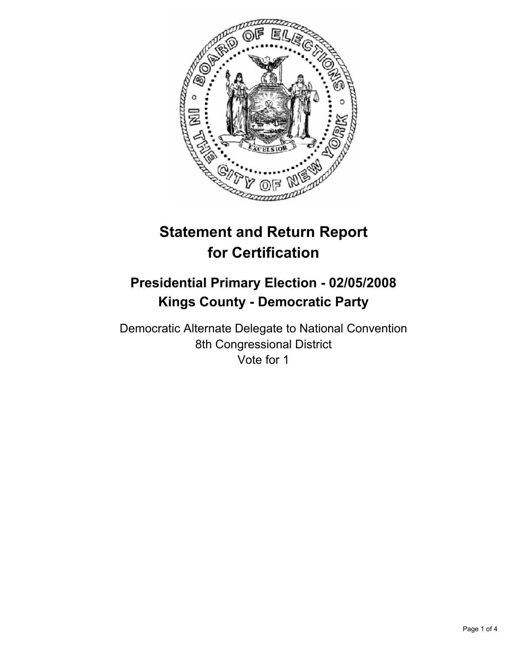

# **Statement and Return Report for Certification**

# **Presidential Primary Election - 02/05/2008 Kings County - Democratic Party**

Democratic Alternate Delegate to National Convention 8th Congressional District Vote for 1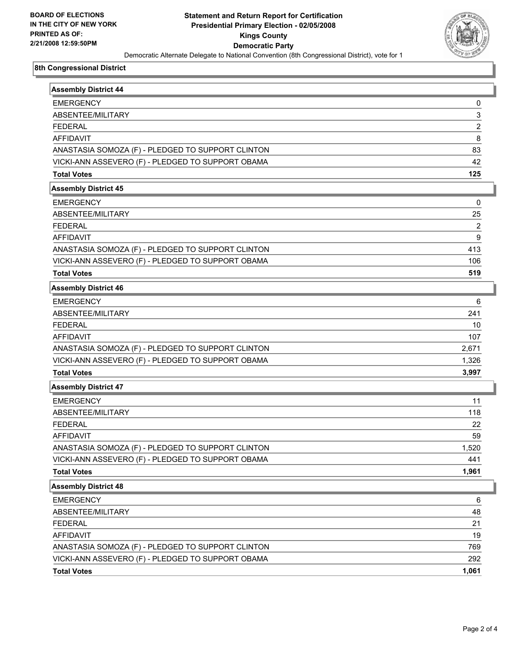

## **8th Congressional District**

| <b>Assembly District 44</b>                       |                         |
|---------------------------------------------------|-------------------------|
| <b>EMERGENCY</b>                                  | 0                       |
| ABSENTEE/MILITARY                                 | 3                       |
| <b>FEDERAL</b>                                    | $\overline{\mathbf{c}}$ |
| <b>AFFIDAVIT</b>                                  | 8                       |
| ANASTASIA SOMOZA (F) - PLEDGED TO SUPPORT CLINTON | 83                      |
| VICKI-ANN ASSEVERO (F) - PLEDGED TO SUPPORT OBAMA | 42                      |
| <b>Total Votes</b>                                | 125                     |
| <b>Assembly District 45</b>                       |                         |
| <b>EMERGENCY</b>                                  | 0                       |
| ABSENTEE/MILITARY                                 | 25                      |
| <b>FEDERAL</b>                                    | 2                       |
| <b>AFFIDAVIT</b>                                  | 9                       |
| ANASTASIA SOMOZA (F) - PLEDGED TO SUPPORT CLINTON | 413                     |
| VICKI-ANN ASSEVERO (F) - PLEDGED TO SUPPORT OBAMA | 106                     |
| <b>Total Votes</b>                                | 519                     |
| <b>Assembly District 46</b>                       |                         |
| <b>EMERGENCY</b>                                  | 6                       |
| ABSENTEE/MILITARY                                 | 241                     |
| <b>FEDERAL</b>                                    | 10                      |
| <b>AFFIDAVIT</b>                                  | 107                     |
| ANASTASIA SOMOZA (F) - PLEDGED TO SUPPORT CLINTON | 2,671                   |
| VICKI-ANN ASSEVERO (F) - PLEDGED TO SUPPORT OBAMA | 1,326                   |
| <b>Total Votes</b>                                | 3,997                   |
| <b>Assembly District 47</b>                       |                         |
| <b>EMERGENCY</b>                                  | 11                      |
| ABSENTEE/MILITARY                                 | 118                     |
| <b>FEDERAL</b>                                    | 22                      |
| <b>AFFIDAVIT</b>                                  | 59                      |
| ANASTASIA SOMOZA (F) - PLEDGED TO SUPPORT CLINTON | 1,520                   |
| VICKI-ANN ASSEVERO (F) - PLEDGED TO SUPPORT OBAMA | 441                     |
| <b>Total Votes</b>                                | 1,961                   |
| <b>Assembly District 48</b>                       |                         |
| <b>EMERGENCY</b>                                  | 6                       |
| ABSENTEE/MILITARY                                 | 48                      |
| <b>FEDERAL</b>                                    | 21                      |
| <b>AFFIDAVIT</b>                                  | 19                      |
| ANASTASIA SOMOZA (F) - PLEDGED TO SUPPORT CLINTON | 769                     |
| VICKI-ANN ASSEVERO (F) - PLEDGED TO SUPPORT OBAMA | 292                     |
| <b>Total Votes</b>                                | 1,061                   |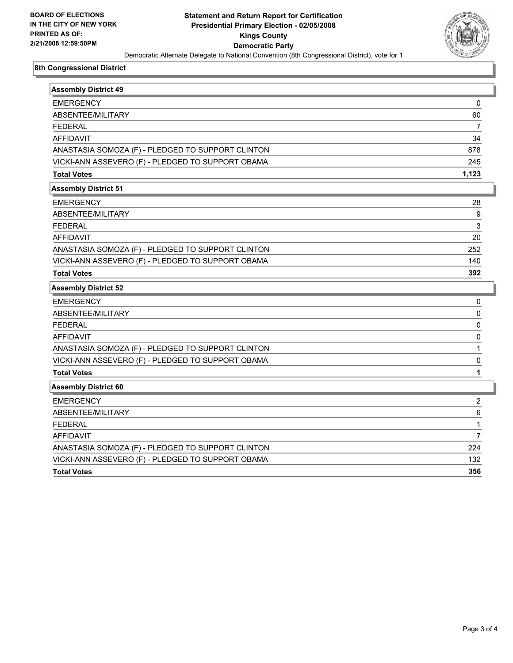

## **8th Congressional District**

| <b>Assembly District 49</b>                       |       |
|---------------------------------------------------|-------|
| <b>EMERGENCY</b>                                  | 0     |
| ABSENTEE/MILITARY                                 | 60    |
| <b>FEDERAL</b>                                    | 7     |
| <b>AFFIDAVIT</b>                                  | 34    |
| ANASTASIA SOMOZA (F) - PLEDGED TO SUPPORT CLINTON | 878   |
| VICKI-ANN ASSEVERO (F) - PLEDGED TO SUPPORT OBAMA | 245   |
| <b>Total Votes</b>                                | 1,123 |
| <b>Assembly District 51</b>                       |       |
| <b>EMERGENCY</b>                                  | 28    |
| ABSENTEE/MILITARY                                 | 9     |
| <b>FEDERAL</b>                                    | 3     |
| <b>AFFIDAVIT</b>                                  | 20    |
| ANASTASIA SOMOZA (F) - PLEDGED TO SUPPORT CLINTON | 252   |
| VICKI-ANN ASSEVERO (F) - PLEDGED TO SUPPORT OBAMA | 140   |
| <b>Total Votes</b>                                | 392   |
| <b>Assembly District 52</b>                       |       |
| <b>EMERGENCY</b>                                  | 0     |
| ABSENTEE/MILITARY                                 | 0     |
| <b>FEDERAL</b>                                    | 0     |
| <b>AFFIDAVIT</b>                                  | 0     |
| ANASTASIA SOMOZA (F) - PLEDGED TO SUPPORT CLINTON |       |
| VICKI-ANN ASSEVERO (F) - PLEDGED TO SUPPORT OBAMA | 0     |
| <b>Total Votes</b>                                | 1     |
| <b>Assembly District 60</b>                       |       |
| <b>EMERGENCY</b>                                  | 2     |
| ABSENTEE/MILITARY                                 | 6     |
| <b>FEDERAL</b>                                    | 1     |
| <b>AFFIDAVIT</b>                                  | 7     |
| ANASTASIA SOMOZA (F) - PLEDGED TO SUPPORT CLINTON | 224   |
| VICKI-ANN ASSEVERO (F) - PLEDGED TO SUPPORT OBAMA | 132   |
| <b>Total Votes</b>                                | 356   |